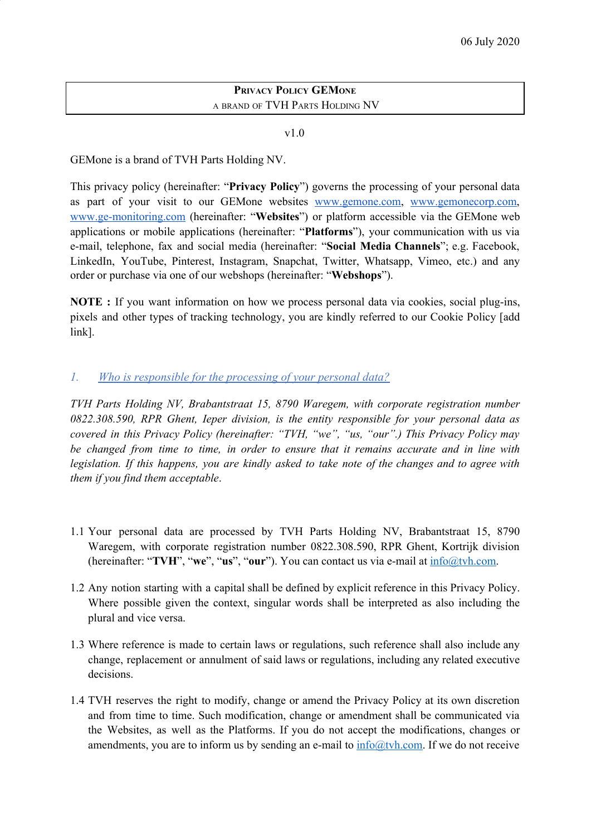### **PRIVACY POLICY GEMONE** <sup>A</sup> BRAND OF TVH PARTS HOLDING NV

#### v1.0

GEMone is a brand of TVH Parts Holding NV.

This privacy policy (hereinafter: "**Privacy Policy**") governs the processing of your personal data as part of your visit to our GEMone websites [www.gemone.com,](http://www.gemone.com/) [www.gemonecorp.com,](http://www.gemonecorp.com/) [www.ge-monitoring.com](http://www.ge-monitoring.com/) (hereinafter: "**Websites**") or platform accessible via the GEMone web applications or mobile applications (hereinafter: "**Platforms**"), your communication with us via e-mail, telephone, fax and social media (hereinafter: "**Social Media Channels**"; e.g. Facebook, LinkedIn, YouTube, Pinterest, Instagram, Snapchat, Twitter, Whatsapp, Vimeo, etc.) and any order or purchase via one of our webshops (hereinafter: "**Webshops**").

**NOTE :** If you want information on how we process personal data via cookies, social plug-ins, pixels and other types of tracking technology, you are kindly referred to our Cookie Policy [add link].

# *1. Who is responsible for the processing of your personal data?*

*TVH Parts Holding NV, Brabantstraat 15, 8790 Waregem, with corporate registration number 0822.308.590, RPR Ghent, Ieper division, is the entity responsible for your personal data as covered in this Privacy Policy (hereinafter: "TVH, "we", "us, "our".) This Privacy Policy may be changed from time to time, in order to ensure that it remains accurate and in line with legislation. If this happens, you are kindly asked to take note of the changes and to agree with them if you find them acceptable*.

- 1.1 Your personal data are processed by TVH Parts Holding NV, Brabantstraat 15, 8790 Waregem, with corporate registration number 0822.308.590, RPR Ghent, Kortrijk division (hereinafter: "**TVH**", "**we**", "**us**", "**our**"). You can contact us via e-mail at [info@tvh.com.](mailto:info@tvh.com)
- 1.2 Any notion starting with a capital shall be defined by explicit reference in this Privacy Policy. Where possible given the context, singular words shall be interpreted as also including the plural and vice versa.
- 1.3 Where reference is made to certain laws or regulations, such reference shall also include any change, replacement or annulment of said laws or regulations, including any related executive decisions.
- 1.4 TVH reserves the right to modify, change or amend the Privacy Policy at its own discretion and from time to time. Such modification, change or amendment shall be communicated via the Websites, as well as the Platforms. If you do not accept the modifications, changes or amendments, you are to inform us by sending an e-mail to  $\frac{info@tvh.com}{info@tvh.com}$  $\frac{info@tvh.com}{info@tvh.com}$  $\frac{info@tvh.com}{info@tvh.com}$ . If we do not receive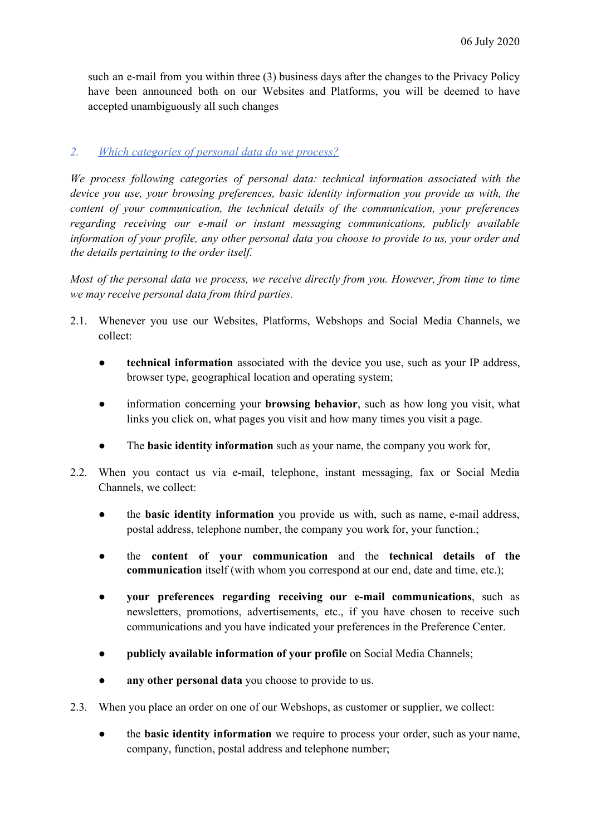such an e-mail from you within three (3) business days after the changes to the Privacy Policy have been announced both on our Websites and Platforms, you will be deemed to have accepted unambiguously all such changes

# *2. Which categories of personal data do we process?*

*We process following categories of personal data: technical information associated with the device you use, your browsing preferences, basic identity information you provide us with, the content of your communication, the technical details of the communication, your preferences regarding receiving our e-mail or instant messaging communications, publicly available information of your profile, any other personal data you choose to provide to us, your order and the details pertaining to the order itself.*

*Most of the personal data we process, we receive directly from you. However, from time to time we may receive personal data from third parties.*

- 2.1. Whenever you use our Websites, Platforms, Webshops and Social Media Channels, we collect:
	- **technical information** associated with the device you use, such as your IP address, browser type, geographical location and operating system;
	- information concerning your **browsing behavior**, such as how long you visit, what links you click on, what pages you visit and how many times you visit a page.
	- The **basic identity information** such as your name, the company you work for,
- 2.2. When you contact us via e-mail, telephone, instant messaging, fax or Social Media Channels, we collect:
	- the **basic identity information** you provide us with, such as name, e-mail address, postal address, telephone number, the company you work for, your function.;
	- the **content of your communication** and the **technical details of the communication** itself (with whom you correspond at our end, date and time, etc.);
	- **your preferences regarding receiving our e-mail communications**, such as newsletters, promotions, advertisements, etc., if you have chosen to receive such communications and you have indicated your preferences in the Preference Center.
	- **publicly available information of your profile** on Social Media Channels;
	- any other personal data you choose to provide to us.
- 2.3. When you place an order on one of our Webshops, as customer or supplier, we collect:
	- the **basic identity information** we require to process your order, such as your name, company, function, postal address and telephone number;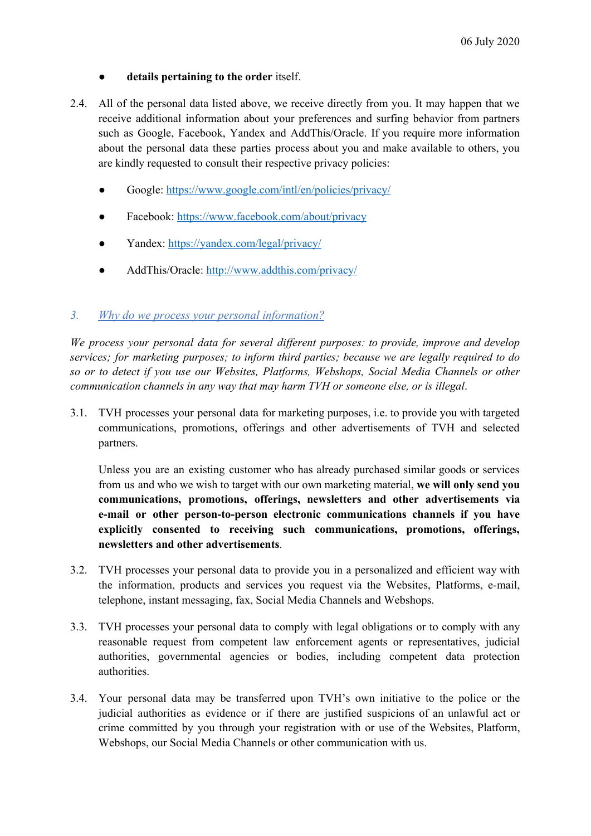### ● **details pertaining to the order** itself.

- 2.4. All of the personal data listed above, we receive directly from you. It may happen that we receive additional information about your preferences and surfing behavior from partners such as Google, Facebook, Yandex and AddThis/Oracle. If you require more information about the personal data these parties process about you and make available to others, you are kindly requested to consult their respective privacy policies:
	- Google: <https://www.google.com/intl/en/policies/privacy/>
	- Facebook: <https://www.facebook.com/about/privacy>
	- Yandex: <https://yandex.com/legal/privacy/>
	- AddThis/Oracle: <http://www.addthis.com/privacy/>

#### *3. Why do we process your personal information?*

*We process your personal data for several dif erent purposes: to provide, improve and develop services; for marketing purposes; to inform third parties; because we are legally required to do so or to detect if you use our Websites, Platforms, Webshops, Social Media Channels or other communication channels in any way that may harm TVH or someone else, or is illegal*.

3.1. TVH processes your personal data for marketing purposes, i.e. to provide you with targeted communications, promotions, offerings and other advertisements of TVH and selected partners.

Unless you are an existing customer who has already purchased similar goods or services from us and who we wish to target with our own marketing material, **we will only send you communications, promotions, offerings, newsletters and other advertisements via e-mail or other person-to-person electronic communications channels if you have explicitly consented to receiving such communications, promotions, offerings, newsletters and other advertisements**.

- 3.2. TVH processes your personal data to provide you in a personalized and efficient way with the information, products and services you request via the Websites, Platforms, e-mail, telephone, instant messaging, fax, Social Media Channels and Webshops.
- 3.3. TVH processes your personal data to comply with legal obligations or to comply with any reasonable request from competent law enforcement agents or representatives, judicial authorities, governmental agencies or bodies, including competent data protection authorities.
- 3.4. Your personal data may be transferred upon TVH's own initiative to the police or the judicial authorities as evidence or if there are justified suspicions of an unlawful act or crime committed by you through your registration with or use of the Websites, Platform, Webshops, our Social Media Channels or other communication with us.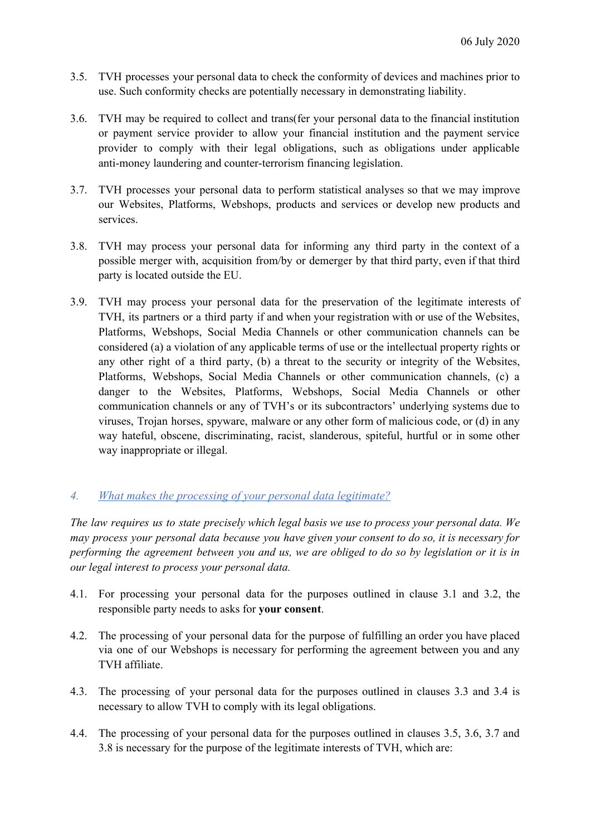- 3.5. TVH processes your personal data to check the conformity of devices and machines prior to use. Such conformity checks are potentially necessary in demonstrating liability.
- 3.6. TVH may be required to collect and trans(fer your personal data to the financial institution or payment service provider to allow your financial institution and the payment service provider to comply with their legal obligations, such as obligations under applicable anti-money laundering and counter-terrorism financing legislation.
- 3.7. TVH processes your personal data to perform statistical analyses so that we may improve our Websites, Platforms, Webshops, products and services or develop new products and services.
- 3.8. TVH may process your personal data for informing any third party in the context of a possible merger with, acquisition from/by or demerger by that third party, even if that third party is located outside the EU.
- 3.9. TVH may process your personal data for the preservation of the legitimate interests of TVH, its partners or a third party if and when your registration with or use of the Websites, Platforms, Webshops, Social Media Channels or other communication channels can be considered (a) a violation of any applicable terms of use or the intellectual property rights or any other right of a third party, (b) a threat to the security or integrity of the Websites, Platforms, Webshops, Social Media Channels or other communication channels, (c) a danger to the Websites, Platforms, Webshops, Social Media Channels or other communication channels or any of TVH's or its subcontractors' underlying systems due to viruses, Trojan horses, spyware, malware or any other form of malicious code, or (d) in any way hateful, obscene, discriminating, racist, slanderous, spiteful, hurtful or in some other way inappropriate or illegal.

#### *4. What makes the processing of your personal data legitimate?*

*The law requires us to state precisely which legal basis we use to process your personal data. We may process your personal data because you have given your consent to do so, it is necessary for* performing the agreement between you and us, we are obliged to do so by legislation or it is in *our legal interest to process your personal data.*

- 4.1. For processing your personal data for the purposes outlined in clause 3.1 and 3.2, the responsible party needs to asks for **your consent**.
- 4.2. The processing of your personal data for the purpose of fulfilling an order you have placed via one of our Webshops is necessary for performing the agreement between you and any TVH affiliate.
- 4.3. The processing of your personal data for the purposes outlined in clauses 3.3 and 3.4 is necessary to allow TVH to comply with its legal obligations.
- 4.4. The processing of your personal data for the purposes outlined in clauses 3.5, 3.6, 3.7 and 3.8 is necessary for the purpose of the legitimate interests of TVH, which are: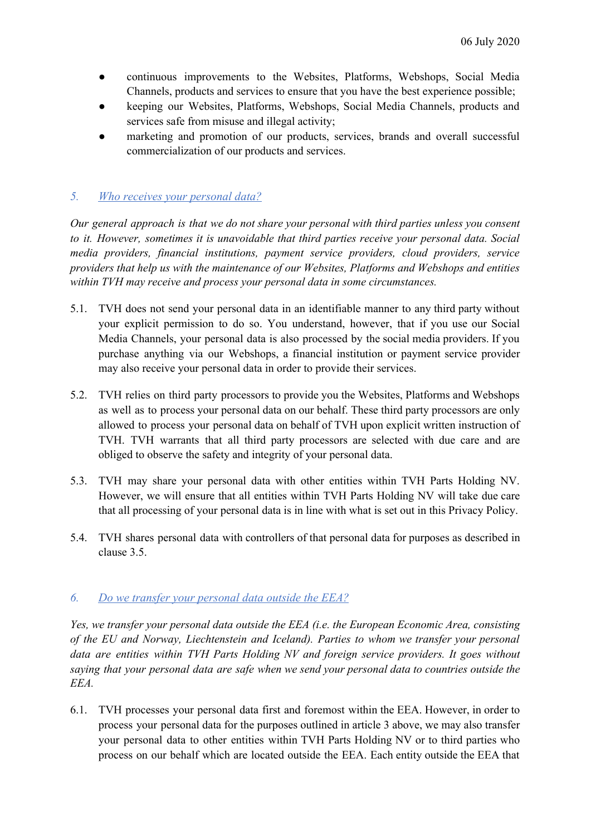- continuous improvements to the Websites, Platforms, Webshops, Social Media Channels, products and services to ensure that you have the best experience possible;
- keeping our Websites, Platforms, Webshops, Social Media Channels, products and services safe from misuse and illegal activity;
- marketing and promotion of our products, services, brands and overall successful commercialization of our products and services.

# *5. Who receives your personal data?*

*Our general approach is that we do not share your personal with third parties unless you consent to it. However, sometimes it is unavoidable that third parties receive your personal data. Social media providers, financial institutions, payment service providers, cloud providers, service providers that help us with the maintenance of our Websites, Platforms and Webshops and entities within TVH may receive and process your personal data in some circumstances.*

- 5.1. TVH does not send your personal data in an identifiable manner to any third party without your explicit permission to do so. You understand, however, that if you use our Social Media Channels, your personal data is also processed by the social media providers. If you purchase anything via our Webshops, a financial institution or payment service provider may also receive your personal data in order to provide their services.
- 5.2. TVH relies on third party processors to provide you the Websites, Platforms and Webshops as well as to process your personal data on our behalf. These third party processors are only allowed to process your personal data on behalf of TVH upon explicit written instruction of TVH. TVH warrants that all third party processors are selected with due care and are obliged to observe the safety and integrity of your personal data.
- 5.3. TVH may share your personal data with other entities within TVH Parts Holding NV. However, we will ensure that all entities within TVH Parts Holding NV will take due care that all processing of your personal data is in line with what is set out in this Privacy Policy.
- 5.4. TVH shares personal data with controllers of that personal data for purposes as described in clause 3.5.

#### *6. Do we transfer your personal data outside the EEA?*

*Yes, we transfer your personal data outside the EEA (i.e. the European Economic Area, consisting of the EU and Norway, Liechtenstein and Iceland). Parties to whom we transfer your personal data are entities within TVH Parts Holding NV and foreign service providers. It goes without saying that your personal data are safe when we send your personal data to countries outside the EEA.*

6.1. TVH processes your personal data first and foremost within the EEA. However, in order to process your personal data for the purposes outlined in article 3 above, we may also transfer your personal data to other entities within TVH Parts Holding NV or to third parties who process on our behalf which are located outside the EEA. Each entity outside the EEA that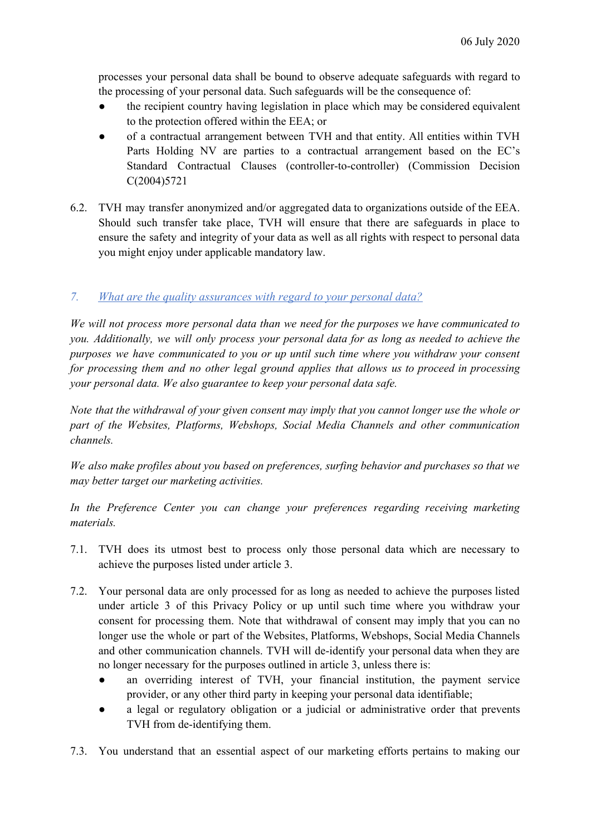processes your personal data shall be bound to observe adequate safeguards with regard to the processing of your personal data. Such safeguards will be the consequence of:

- the recipient country having legislation in place which may be considered equivalent to the protection offered within the EEA; or
- of a contractual arrangement between TVH and that entity. All entities within TVH Parts Holding NV are parties to a contractual arrangement based on the EC's Standard Contractual Clauses (controller-to-controller) (Commission Decision C(2004)5721
- 6.2. TVH may transfer anonymized and/or aggregated data to organizations outside of the EEA. Should such transfer take place, TVH will ensure that there are safeguards in place to ensure the safety and integrity of your data as well as all rights with respect to personal data you might enjoy under applicable mandatory law.

# *7. What are the quality assurances with regard to your personal data?*

*We will not process more personal data than we need for the purposes we have communicated to you. Additionally, we will only process your personal data for as long as needed to achieve the purposes we have communicated to you or up until such time where you withdraw your consent for processing them and no other legal ground applies that allows us to proceed in processing your personal data. We also guarantee to keep your personal data safe.*

*Note that the withdrawal of your given consent may imply that you cannot longer use the whole or part of the Websites, Platforms, Webshops, Social Media Channels and other communication channels.*

*We also make profiles about you based on preferences, surfing behavior and purchases so that we may better target our marketing activities.*

*In the Preference Center you can change your preferences regarding receiving marketing materials.*

- 7.1. TVH does its utmost best to process only those personal data which are necessary to achieve the purposes listed under article 3.
- 7.2. Your personal data are only processed for as long as needed to achieve the purposes listed under article 3 of this Privacy Policy or up until such time where you withdraw your consent for processing them. Note that withdrawal of consent may imply that you can no longer use the whole or part of the Websites, Platforms, Webshops, Social Media Channels and other communication channels. TVH will de-identify your personal data when they are no longer necessary for the purposes outlined in article 3, unless there is:
	- an overriding interest of TVH, your financial institution, the payment service provider, or any other third party in keeping your personal data identifiable;
	- a legal or regulatory obligation or a judicial or administrative order that prevents TVH from de-identifying them.
- 7.3. You understand that an essential aspect of our marketing efforts pertains to making our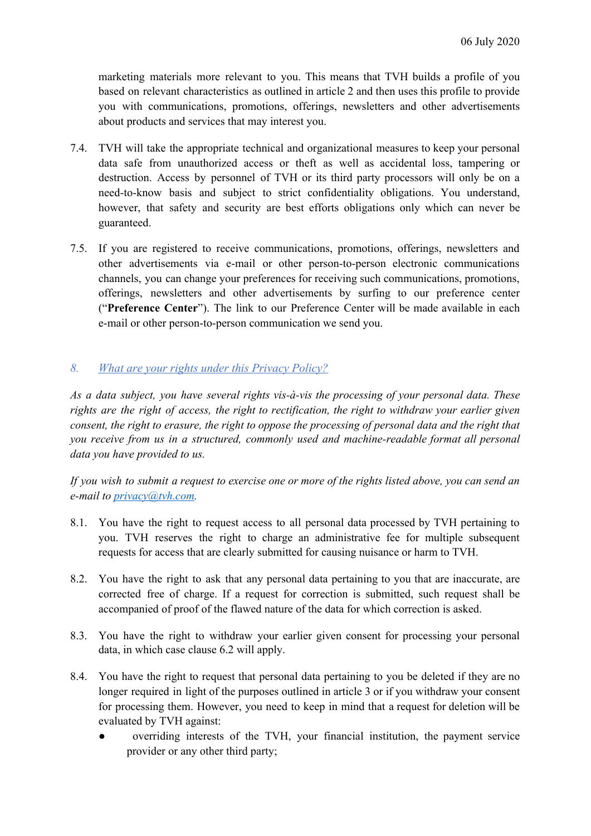marketing materials more relevant to you. This means that TVH builds a profile of you based on relevant characteristics as outlined in article 2 and then uses this profile to provide you with communications, promotions, offerings, newsletters and other advertisements about products and services that may interest you.

- 7.4. TVH will take the appropriate technical and organizational measures to keep your personal data safe from unauthorized access or theft as well as accidental loss, tampering or destruction. Access by personnel of TVH or its third party processors will only be on a need-to-know basis and subject to strict confidentiality obligations. You understand, however, that safety and security are best efforts obligations only which can never be guaranteed.
- 7.5. If you are registered to receive communications, promotions, offerings, newsletters and other advertisements via e-mail or other person-to-person electronic communications channels, you can change your preferences for receiving such communications, promotions, offerings, newsletters and other advertisements by surfing to our preference center ("**Preference Center**"). The link to our Preference Center will be made available in each e-mail or other person-to-person communication we send you.

### *8. What are your rights under this Privacy Policy?*

*As a data subject, you have several rights vis-à-vis the processing of your personal data. These rights are the right of access, the right to rectification, the right to withdraw your earlier given* consent, the right to erasure, the right to oppose the processing of personal data and the right that *you receive from us in a structured, commonly used and machine-readable format all personal data you have provided to us.*

If you wish to submit a request to exercise one or more of the rights listed above, you can send an *e-mail to [privacy@tvh.com](mailto:privacy@tvh.com).*

- 8.1. You have the right to request access to all personal data processed by TVH pertaining to you. TVH reserves the right to charge an administrative fee for multiple subsequent requests for access that are clearly submitted for causing nuisance or harm to TVH.
- 8.2. You have the right to ask that any personal data pertaining to you that are inaccurate, are corrected free of charge. If a request for correction is submitted, such request shall be accompanied of proof of the flawed nature of the data for which correction is asked.
- 8.3. You have the right to withdraw your earlier given consent for processing your personal data, in which case clause 6.2 will apply.
- 8.4. You have the right to request that personal data pertaining to you be deleted if they are no longer required in light of the purposes outlined in article 3 or if you withdraw your consent for processing them. However, you need to keep in mind that a request for deletion will be evaluated by TVH against:
	- overriding interests of the TVH, your financial institution, the payment service provider or any other third party;